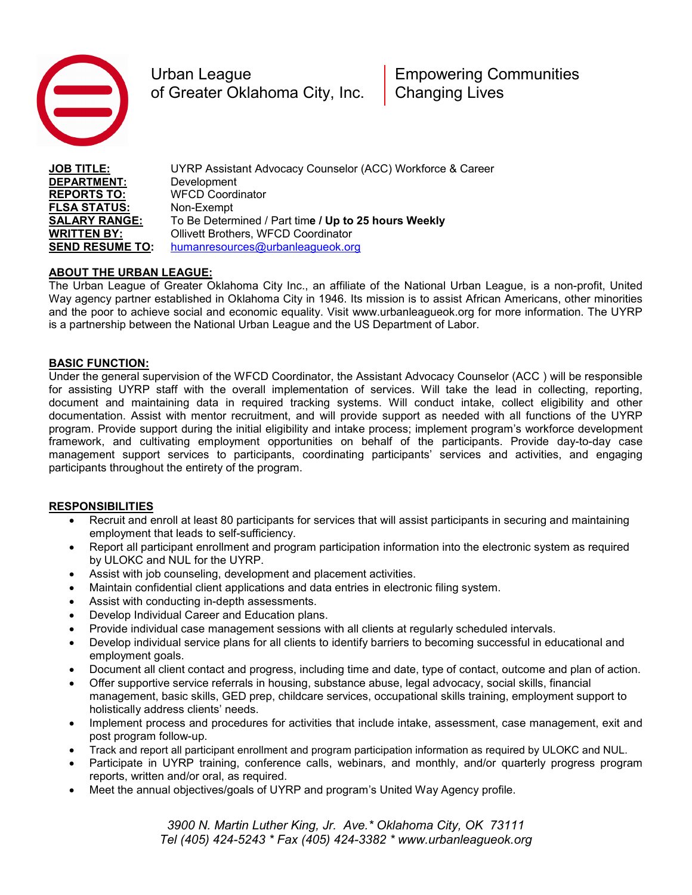

Urban League **Empowering Communities** of Greater Oklahoma City, Inc. | Changing Lives

**JOB TITLE: DEPARTMENT: REPORTS TO: FLSA STATUS: SALARY RANGE: WRITTEN BY:**  UYRP Assistant Advocacy Counselor (ACC) Workforce & Career Development WFCD Coordinator Non-Exempt To Be Determined / Part tim**e / Up to 25 hours Weekly** Ollivett Brothers, WFCD Coordinator **SEND RESUME TO:** [humanresources@urbanleagueok.org](mailto:humanresources@urbanleagueok.org)

## **ABOUT THE URBAN LEAGUE:**

The Urban League of Greater Oklahoma City Inc., an affiliate of the National Urban League, is a non-profit, United Way agency partner established in Oklahoma City in 1946. Its mission is to assist African Americans, other minorities and the poor to achieve social and economic equality. Visit www.urbanleagueok.org for more information. The UYRP is a partnership between the National Urban League and the US Department of Labor.

## **BASIC FUNCTION:**

Under the general supervision of the WFCD Coordinator, the Assistant Advocacy Counselor (ACC ) will be responsible for assisting UYRP staff with the overall implementation of services. Will take the lead in collecting, reporting, document and maintaining data in required tracking systems. Will conduct intake, collect eligibility and other documentation. Assist with mentor recruitment, and will provide support as needed with all functions of the UYRP program. Provide support during the initial eligibility and intake process; implement program's workforce development framework, and cultivating employment opportunities on behalf of the participants. Provide day-to-day case management support services to participants, coordinating participants' services and activities, and engaging participants throughout the entirety of the program.

## **RESPONSIBILITIES**

- Recruit and enroll at least 80 participants for services that will assist participants in securing and maintaining employment that leads to self-sufficiency.
- Report all participant enrollment and program participation information into the electronic system as required by ULOKC and NUL for the UYRP.
- Assist with job counseling, development and placement activities.
- Maintain confidential client applications and data entries in electronic filing system.
- Assist with conducting in-depth assessments.
- Develop Individual Career and Education plans.
- Provide individual case management sessions with all clients at regularly scheduled intervals.
- Develop individual service plans for all clients to identify barriers to becoming successful in educational and employment goals.
- Document all client contact and progress, including time and date, type of contact, outcome and plan of action.
- Offer supportive service referrals in housing, substance abuse, legal advocacy, social skills, financial management, basic skills, GED prep, childcare services, occupational skills training, employment support to holistically address clients' needs.
- Implement process and procedures for activities that include intake, assessment, case management, exit and post program follow-up.
- Track and report all participant enrollment and program participation information as required by ULOKC and NUL.
- Participate in UYRP training, conference calls, webinars, and monthly, and/or quarterly progress program reports, written and/or oral, as required.
- Meet the annual objectives/goals of UYRP and program's United Way Agency profile.

*3900 N. Martin Luther King, Jr. Ave.\* Oklahoma City, OK 73111 Tel (405) 424-5243 \* Fax (405) 424-3382 \* www.urbanleagueok.org*